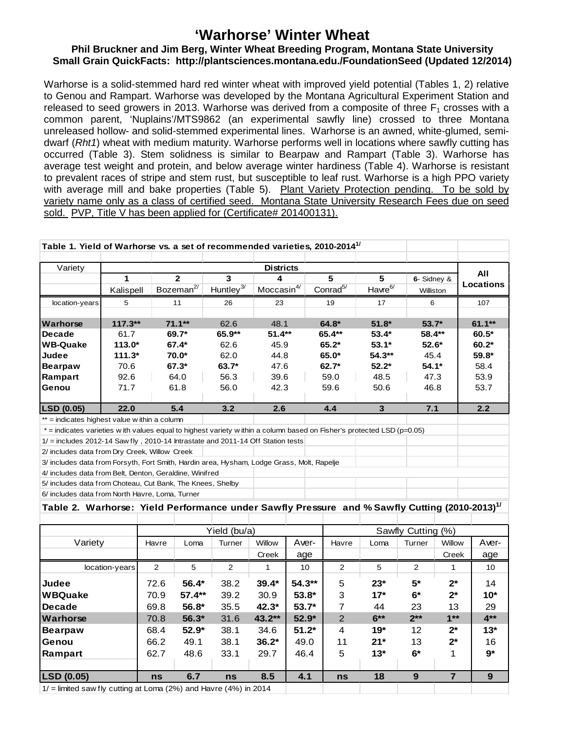## **'Warhorse' Winter Wheat**

## **Phil Bruckner and Jim Berg, Winter Wheat Breeding Program, Montana State University Small Grain QuickFacts: http://plantsciences.montana.edu./FoundationSeed (Updated 12/2014)**

Warhorse is a solid-stemmed hard red winter wheat with improved yield potential (Tables 1, 2) relative to Genou and Rampart. Warhorse was developed by the Montana Agricultural Experiment Station and released to seed growers in 2013. Warhorse was derived from a composite of three  $F_1$  crosses with a common parent, 'Nuplains'/MTS9862 (an experimental sawfly line) crossed to three Montana unreleased hollow- and solid-stemmed experimental lines. Warhorse is an awned, white-glumed, semidwarf (*Rht1*) wheat with medium maturity. Warhorse performs well in locations where sawfly cutting has occurred (Table 3). Stem solidness is similar to Bearpaw and Rampart (Table 3). Warhorse has average test weight and protein, and below average winter hardiness (Table 4). Warhorse is resistant to prevalent races of stripe and stem rust, but susceptible to leaf rust. Warhorse is a high PPO variety with average mill and bake properties (Table 5). Plant Variety Protection pending. To be sold by variety name only as a class of certified seed. Montana State University Research Fees due on seed sold. PVP, Title V has been applied for (Certificate# 201400131).

| Table 1. Yield of Warhorse vs. a set of recommended varieties, 2010-2014 <sup>1/</sup>                                  |           |                       |              |                        |                      |                         |             |                  |  |  |
|-------------------------------------------------------------------------------------------------------------------------|-----------|-----------------------|--------------|------------------------|----------------------|-------------------------|-------------|------------------|--|--|
| Variety                                                                                                                 |           |                       |              | <b>Districts</b>       |                      |                         |             | AII              |  |  |
|                                                                                                                         | 1         | $\overline{2}$        | 3            | 4                      | 5                    | 5                       | 6- Sidney & |                  |  |  |
|                                                                                                                         | Kalispell | Bozeman <sup>2/</sup> | Huntley $3/$ | Moccasin <sup>4/</sup> | Conrad <sup>5/</sup> | Havre <sup>6/</sup>     | Williston   | <b>Locations</b> |  |  |
| location-years                                                                                                          | 5         | 11                    | 26           | 23                     | 19                   | 17                      | 6           | 107              |  |  |
|                                                                                                                         |           |                       |              |                        |                      |                         |             |                  |  |  |
| Warhorse                                                                                                                | $117.3**$ | $71.1***$             | 62.6         | 48.1                   | 64.8*                | $51.8*$                 | $53.7*$     | $61.1***$        |  |  |
| <b>IDecade</b>                                                                                                          | 61.7      | 69.7*                 | 65.9**       | $51.4**$               | $65.4**$             | $53.4*$                 | 58.4**      | $60.5*$          |  |  |
| lWB-Quake                                                                                                               | $113.0*$  | 67.4*                 | 62.6         | 45.9                   | $65.2*$              | $53.1*$                 | $52.6*$     | $60.2*$          |  |  |
| <b>Judee</b>                                                                                                            | $111.3*$  | 70.0*                 | 62.0         | 44.8                   | $65.0*$              | $54.3**$                | 45.4        | 59.8*            |  |  |
| Bearpaw                                                                                                                 | 70.6      | $67.3*$               | $63.7*$      | 47.6                   | $62.7*$              | $52.2*$                 | $54.1*$     | 58.4             |  |  |
| Rampart                                                                                                                 | 92.6      | 64.0                  | 56.3         | 39.6                   | 59.0                 | 48.5                    | 47.3        | 53.9             |  |  |
| Genou                                                                                                                   | 71.7      | 61.8                  | 56.0         | 42.3                   | 59.6                 | 50.6                    | 46.8        | 53.7             |  |  |
|                                                                                                                         |           |                       |              |                        |                      |                         |             |                  |  |  |
| <b>LSD (0.05)</b>                                                                                                       | 22.0      | 5.4                   | 3.2          | 2.6                    | 4.4                  | $\overline{\mathbf{3}}$ | 7.1         | 2.2              |  |  |
| ** = indicates highest value within a column                                                                            |           |                       |              |                        |                      |                         |             |                  |  |  |
| $*$ = indicates varieties with values equal to highest variety within a column based on Fisher's protected LSD (p=0.05) |           |                       |              |                        |                      |                         |             |                  |  |  |
| $1/$ = includes 2012-14 Saw fly, 2010-14 Intrastate and 2011-14 Off Station tests                                       |           |                       |              |                        |                      |                         |             |                  |  |  |
| 2/ includes data from Dry Creek, Willow Creek                                                                           |           |                       |              |                        |                      |                         |             |                  |  |  |
| 3/ includes data from Forsyth, Fort Smith, Hardin area, Hysham, Lodge Grass, Molt, Rapelje                              |           |                       |              |                        |                      |                         |             |                  |  |  |
| 4/ includes data from Belt, Denton, Geraldine, Winifred                                                                 |           |                       |              |                        |                      |                         |             |                  |  |  |

5/ includes data from Choteau, Cut Bank, The Knees, Shelby 6/ includes data from North Havre, Loma, Turner

## **Table 2. Warhorse: Yield Performance under Sawfly Pressure and % Sawfly Cutting (2010-2013)1/**

|                   |                                                                    |          | Yield (bu/a) |         |          | Sawfly Cutting (%) |        |                |        |       |
|-------------------|--------------------------------------------------------------------|----------|--------------|---------|----------|--------------------|--------|----------------|--------|-------|
| Variety           | Havre                                                              | Loma     | Turner       | Willow  | Aver-    | Havre              | Loma   | Turner         | Willow | Aver- |
|                   |                                                                    |          |              | Creek   | age      |                    |        |                | Creek  | age   |
| location-years    | 2                                                                  | 5        | 2            |         | 10       | 2                  | 5      | $\overline{2}$ |        | 10    |
| Judee             | 72.6                                                               | 56.4*    | 38.2         | $39.4*$ | $54.3**$ | 5                  | $23*$  | $5^*$          | $2^*$  | 14    |
| <b>WBQuake</b>    | 70.9                                                               | $57.4**$ | 39.2         | 30.9    | $53.8*$  | 3                  | $17*$  | $6*$           | $2^*$  | $10*$ |
| <b>Decade</b>     | 69.8                                                               | $56.8*$  | 35.5         | $42.3*$ | $53.7*$  | 7                  | 44     | 23             | 13     | 29    |
| <b>Warhorse</b>   | 70.8                                                               | $56.3*$  | 31.6         | 43.2**  | $52.9*$  | $\overline{2}$     | $6***$ | $2**$          | $1**$  | $4**$ |
| <b>Bearpaw</b>    | 68.4                                                               | 52.9*    | 38.1         | 34.6    | $51.2*$  | 4                  | $19*$  | 12             | $2^*$  | $13*$ |
| Genou             | 66.2                                                               | 49.1     | 38.1         | $36.2*$ | 49.0     | 11                 | $21*$  | 13             | $2^*$  | 16    |
| Rampart           | 62.7                                                               | 48.6     | 33.1         | 29.7    | 46.4     | 5                  | $13*$  | $6*$           | 1      | $9*$  |
|                   |                                                                    |          |              |         |          |                    |        |                |        |       |
| <b>LSD (0.05)</b> | <b>ns</b>                                                          | 6.7      | ns           | 8.5     | 4.1      | ns                 | 18     | 9              | 7      | 9     |
|                   | $1/$ = limited saw fly cutting at Loma (2%) and Havre (4%) in 2014 |          |              |         |          |                    |        |                |        |       |